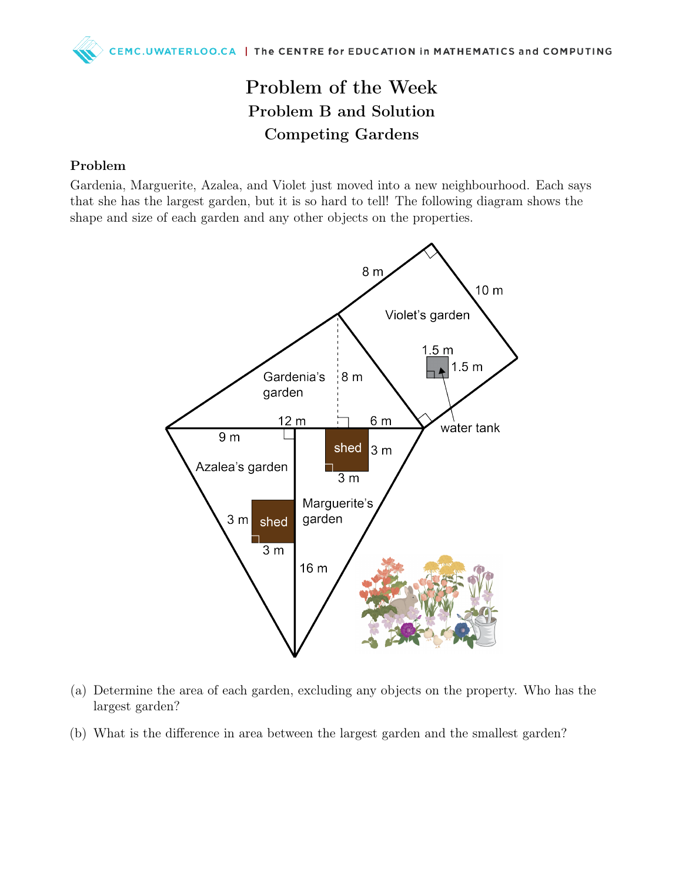## Problem of the Week Problem B and Solution Competing Gardens

## Problem

Gardenia, Marguerite, Azalea, and Violet just moved into a new neighbourhood. Each says that she has the largest garden, but it is so hard to tell! The following diagram shows the shape and size of each garden and any other objects on the properties.



- (a) Determine the area of each garden, excluding any objects on the property. Who has the largest garden?
- (b) What is the difference in area between the largest garden and the smallest garden?